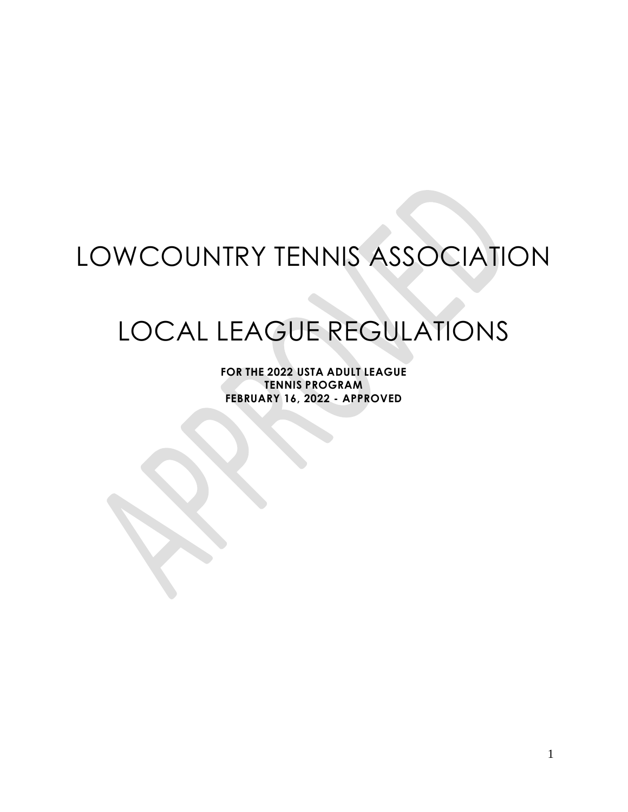# LOWCOUNTRY TENNIS ASSOCIATION

# LOCAL LEAGUE REGULATIONS

**FOR THE 2022 USTA ADULT LEAGUE TENNIS PROGRAM FEBRUARY 16, 2022 - APPROVED**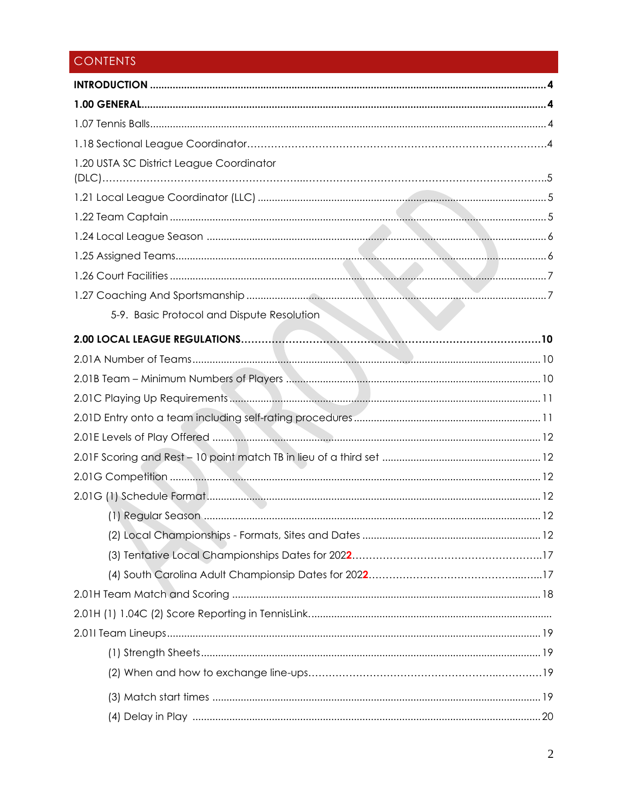## CONTENTS

| 1.20 USTA SC District League Coordinator   |
|--------------------------------------------|
|                                            |
|                                            |
|                                            |
|                                            |
|                                            |
|                                            |
| 5-9. Basic Protocol and Dispute Resolution |
|                                            |
|                                            |
|                                            |
|                                            |
|                                            |
|                                            |
|                                            |
|                                            |
|                                            |
|                                            |
|                                            |
|                                            |
|                                            |
|                                            |
|                                            |
|                                            |
|                                            |
|                                            |
|                                            |
|                                            |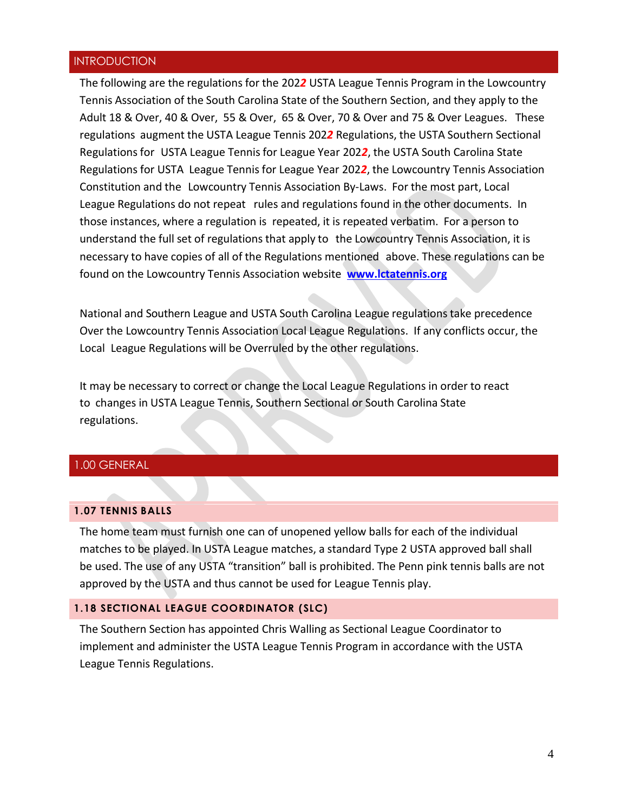#### <span id="page-3-0"></span>**INTRODUCTION**

The following are the regulations for the 202*2* USTA League Tennis Program in the Lowcountry Tennis Association of the South Carolina State of the Southern Section, and they apply to the Adult 18 & Over, 40 & Over, 55 & Over, 65 & Over, 70 & Over and 75 & Over Leagues. These regulations augment the USTA League Tennis 202*2* Regulations, the USTA Southern Sectional Regulations for USTA League Tennis for League Year 2022, the USTA South Carolina State Regulations for USTA League Tennis for League Year 202*2*, the Lowcountry Tennis Association Constitution and the Lowcountry Tennis Association By-Laws. For the most part, Local League Regulations do not repeat rules and regulations found in the other documents. In those instances, where a regulation is repeated, it is repeated verbatim. For a person to understand the full set of regulations that apply to the Lowcountry Tennis Association, it is necessary to have copies of all of the Regulations mentioned above. These regulations can be found on the Lowcountry Tennis Association website **[www.lctatennis.org](http://www.lctatennis.org/)**

National and Southern League and USTA South Carolina League regulationstake precedence Over the Lowcountry Tennis Association Local League Regulations. If any conflicts occur, the Local League Regulations will be Overruled by the other regulations.

It may be necessary to correct or change the Local League Regulations in order to react to changes in USTA League Tennis, Southern Sectional or South Carolina State regulations.

#### <span id="page-3-1"></span>1.00 GENERAL

#### <span id="page-3-2"></span>**1.07 TENNIS BALLS**

The home team must furnish one can of unopened yellow balls for each of the individual matches to be played. In USTA League matches, a standard Type 2 USTA approved ball shall be used. The use of any USTA "transition" ball is prohibited. The Penn pink tennis balls are not approved by the USTA and thus cannot be used for League Tennis play.

#### **1.18 SECTIONAL LEAGUE COORDINATOR (SLC)**

The Southern Section has appointed Chris Walling as Sectional League Coordinator to implement and administer the USTA League Tennis Program in accordance with the USTA League Tennis Regulations.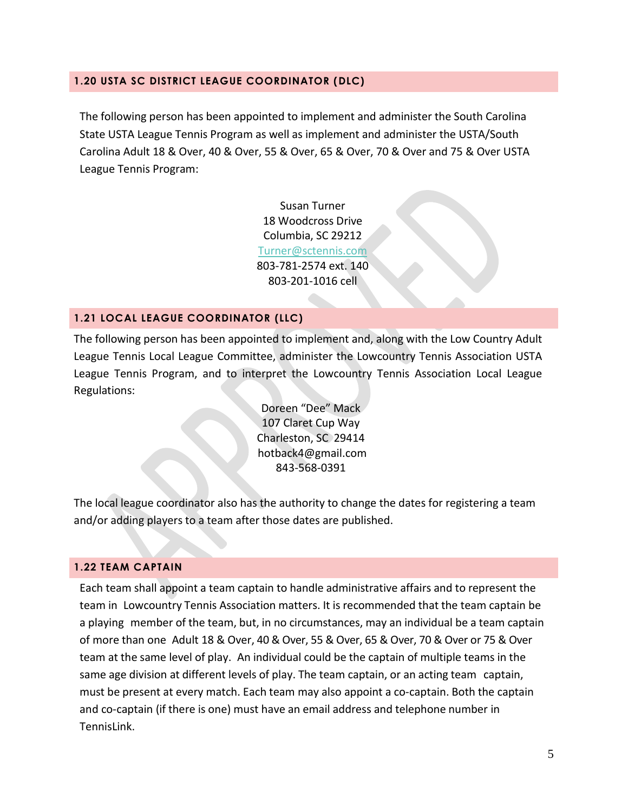#### **1.20 USTA SC DISTRICT LEAGUE COORDINATOR (DLC)**

The following person has been appointed to implement and administer the South Carolina State USTA League Tennis Program as well as implement and administer the USTA/South Carolina Adult 18 & Over, 40 & Over, 55 & Over, 65 & Over, 70 & Over and 75 & Over USTA League Tennis Program:

> Susan Turner 18 Woodcross Drive Columbia, SC 29212 [Turner@sctennis.com](mailto:Turner@sctennis.com) 803-781-2574 ext. 140 803-201-1016 cell

#### **1.21 LOCAL LEAGUE COORDINATOR (LLC)**

The following person has been appointed to implement and, along with the Low Country Adult League Tennis Local League Committee, administer the Lowcountry Tennis Association USTA League Tennis Program, and to interpret the Lowcountry Tennis Association Local League Regulations:

> Doreen "Dee" Mack 107 Claret Cup Way Charleston, SC 29414 [hotback4@gmail.com](mailto:hotback4@gmail.com) 843-568-0391

The local league coordinator also has the authority to change the dates for registering a team and/or adding players to a team after those dates are published.

#### <span id="page-4-0"></span>**1.22 TEAM CAPTAIN**

Each team shall appoint a team captain to handle administrative affairs and to represent the team in Lowcountry Tennis Association matters. It is recommended that the team captain be a playing member of the team, but, in no circumstances, may an individual be a team captain of more than one Adult 18 & Over, 40 & Over, 55 & Over, 65 & Over, 70 & Over or 75 & Over team at the same level of play. An individual could be the captain of multiple teams in the same age division at different levels of play. The team captain, or an acting team captain, must be present at every match. Each team may also appoint a co-captain. Both the captain and co-captain (if there is one) must have an email address and telephone number in TennisLink.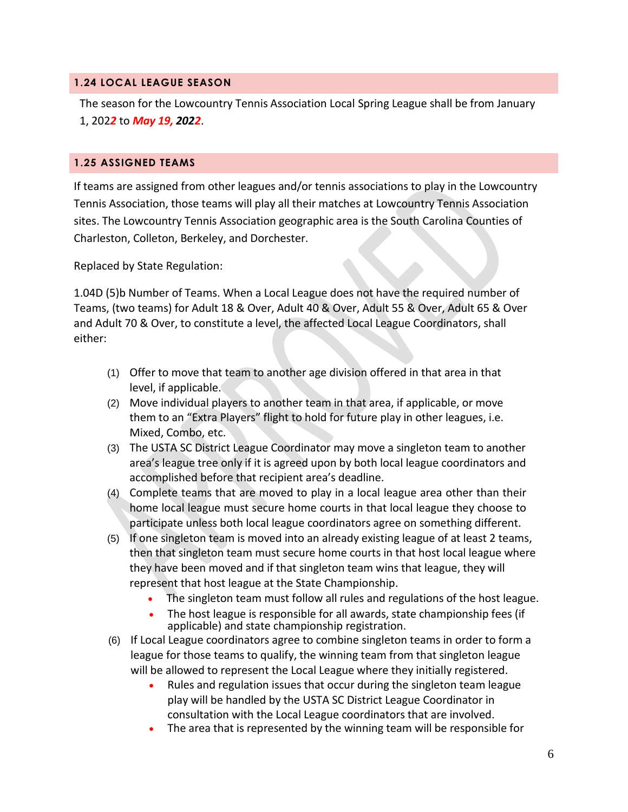#### <span id="page-5-0"></span>**1.24 LOCAL LEAGUE SEASON**

The season for the Lowcountry Tennis Association Local Spring League shall be from January 1, 202*2* to *May 19, 2022*.

#### <span id="page-5-1"></span>**1.25 ASSIGNED TEAMS**

If teams are assigned from other leagues and/or tennis associations to play in the Lowcountry Tennis Association, those teams will play all their matches at Lowcountry Tennis Association sites. The Lowcountry Tennis Association geographic area is the South Carolina Counties of Charleston, Colleton, Berkeley, and Dorchester.

Replaced by State Regulation:

1.04D (5)b Number of Teams. When a Local League does not have the required number of Teams, (two teams) for Adult 18 & Over, Adult 40 & Over, Adult 55 & Over, Adult 65 & Over and Adult 70 & Over, to constitute a level, the affected Local League Coordinators, shall either:

- (1) Offer to move that team to another age division offered in that area in that level, if applicable.
- (2) Move individual players to another team in that area, if applicable, or move them to an "Extra Players" flight to hold for future play in other leagues, i.e. Mixed, Combo, etc.
- (3) The USTA SC District League Coordinator may move a singleton team to another area's league tree only if it is agreed upon by both local league coordinators and accomplished before that recipient area's deadline.
- (4) Complete teams that are moved to play in a local league area other than their home local league must secure home courts in that local league they choose to participate unless both local league coordinators agree on something different.
- (5) If one singleton team is moved into an already existing league of at least 2 teams, then that singleton team must secure home courts in that host local league where they have been moved and if that singleton team wins that league, they will represent that host league at the State Championship.
	- The singleton team must follow all rules and regulations of the host league.
	- The host league is responsible for all awards, state championship fees (if applicable) and state championship registration.
- (6) If Local League coordinators agree to combine singleton teams in order to form a league for those teams to qualify, the winning team from that singleton league will be allowed to represent the Local League where they initially registered.
	- Rules and regulation issues that occur during the singleton team league play will be handled by the USTA SC District League Coordinator in consultation with the Local League coordinators that are involved.
	- The area that is represented by the winning team will be responsible for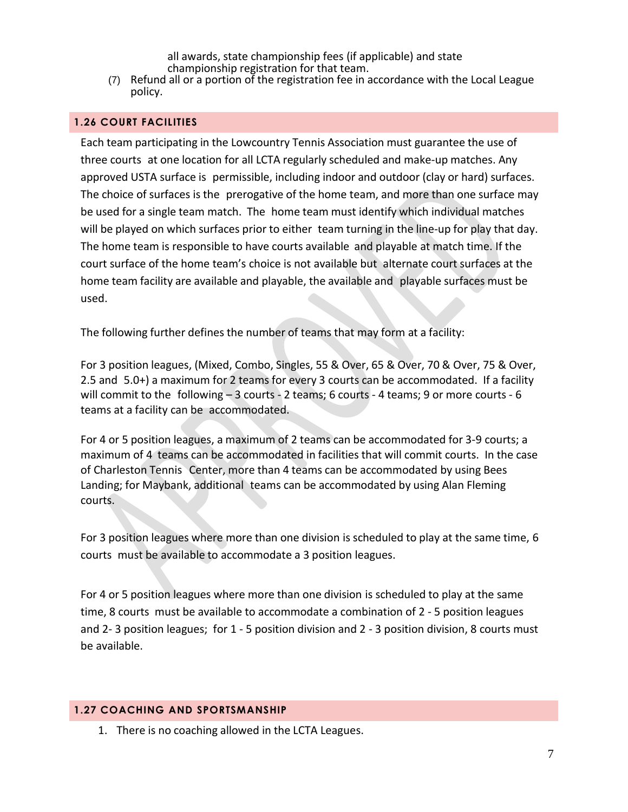all awards, state championship fees (if applicable) and state championship registration for that team.

(7) Refund all or a portion of the registration fee in accordance with the Local League policy.

#### <span id="page-6-0"></span>**1.26 COURT FACILITIES**

Each team participating in the Lowcountry Tennis Association must guarantee the use of three courts at one location for all LCTA regularly scheduled and make-up matches. Any approved USTA surface is permissible, including indoor and outdoor (clay or hard) surfaces. The choice of surfaces is the prerogative of the home team, and more than one surface may be used for a single team match. The home team must identify which individual matches will be played on which surfaces prior to either team turning in the line-up for play that day. The home team is responsible to have courts available and playable at match time. If the court surface of the home team's choice is not available but alternate court surfaces at the home team facility are available and playable, the available and playable surfaces must be used.

The following further defines the number of teams that may form at a facility:

For 3 position leagues, (Mixed, Combo, Singles, 55 & Over, 65 & Over, 70 & Over, 75 & Over, 2.5 and 5.0+) a maximum for 2 teams for every 3 courts can be accommodated. If a facility will commit to the following – 3 courts - 2 teams; 6 courts - 4 teams; 9 or more courts - 6 teams at a facility can be accommodated.

For 4 or 5 position leagues, a maximum of 2 teams can be accommodated for 3-9 courts; a maximum of 4 teams can be accommodated in facilities that will commit courts. In the case of Charleston Tennis Center, more than 4 teams can be accommodated by using Bees Landing; for Maybank, additional teams can be accommodated by using Alan Fleming courts.

For 3 position leagues where more than one division is scheduled to play at the same time, 6 courts must be available to accommodate a 3 position leagues.

For 4 or 5 position leagues where more than one division is scheduled to play at the same time, 8 courts must be available to accommodate a combination of 2 - 5 position leagues and 2- 3 position leagues; for 1 - 5 position division and 2 - 3 position division, 8 courts must be available.

#### <span id="page-6-1"></span>**1.27 COACHING AND SPORTSMANSHIP**

1. There is no coaching allowed in the LCTA Leagues.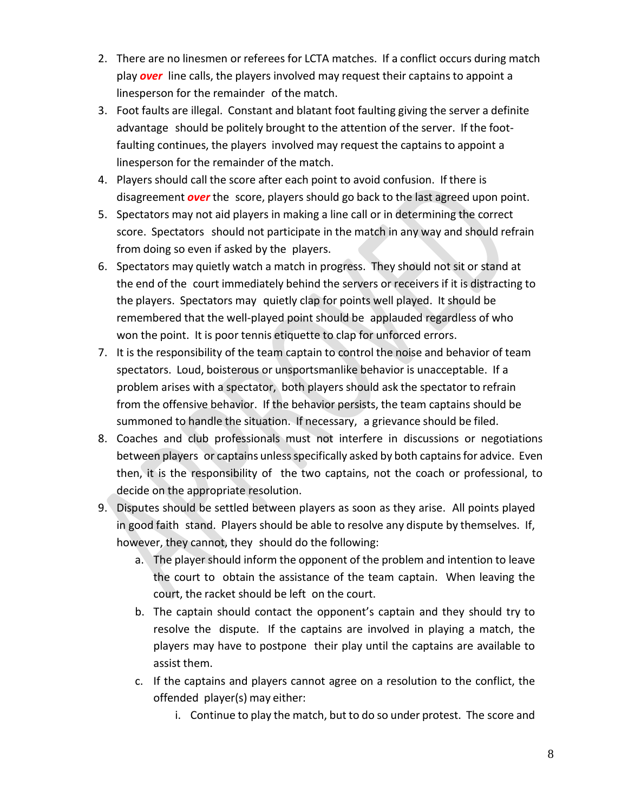- 2. There are no linesmen or referees for LCTA matches. If a conflict occurs during match play *over* line calls, the players involved may request their captains to appoint a linesperson for the remainder of the match.
- 3. Foot faults are illegal. Constant and blatant foot faulting giving the server a definite advantage should be politely brought to the attention of the server. If the footfaulting continues, the players involved may request the captains to appoint a linesperson for the remainder of the match.
- 4. Players should call the score after each point to avoid confusion. If there is disagreement *over* the score, players should go back to the last agreed upon point.
- 5. Spectators may not aid players in making a line call or in determining the correct score. Spectators should not participate in the match in any way and should refrain from doing so even if asked by the players.
- 6. Spectators may quietly watch a match in progress. They should not sit or stand at the end of the court immediately behind the servers or receivers if it is distracting to the players. Spectators may quietly clap for points well played. It should be remembered that the well-played point should be applauded regardless of who won the point. It is poor tennis etiquette to clap for unforced errors.
- 7. It is the responsibility of the team captain to control the noise and behavior of team spectators. Loud, boisterous or unsportsmanlike behavior is unacceptable. If a problem arises with a spectator, both players should ask the spectator to refrain from the offensive behavior. If the behavior persists, the team captains should be summoned to handle the situation. If necessary, a grievance should be filed.
- 8. Coaches and club professionals must not interfere in discussions or negotiations between players or captains unless specifically asked by both captains for advice. Even then, it is the responsibility of the two captains, not the coach or professional, to decide on the appropriate resolution.
- 9. Disputes should be settled between players as soon as they arise. All points played in good faith stand. Players should be able to resolve any dispute by themselves. If, however, they cannot, they should do the following:
	- a. The player should inform the opponent of the problem and intention to leave the court to obtain the assistance of the team captain. When leaving the court, the racket should be left on the court.
	- b. The captain should contact the opponent's captain and they should try to resolve the dispute. If the captains are involved in playing a match, the players may have to postpone their play until the captains are available to assist them.
	- c. If the captains and players cannot agree on a resolution to the conflict, the offended player(s) may either:
		- i. Continue to play the match, but to do so under protest. The score and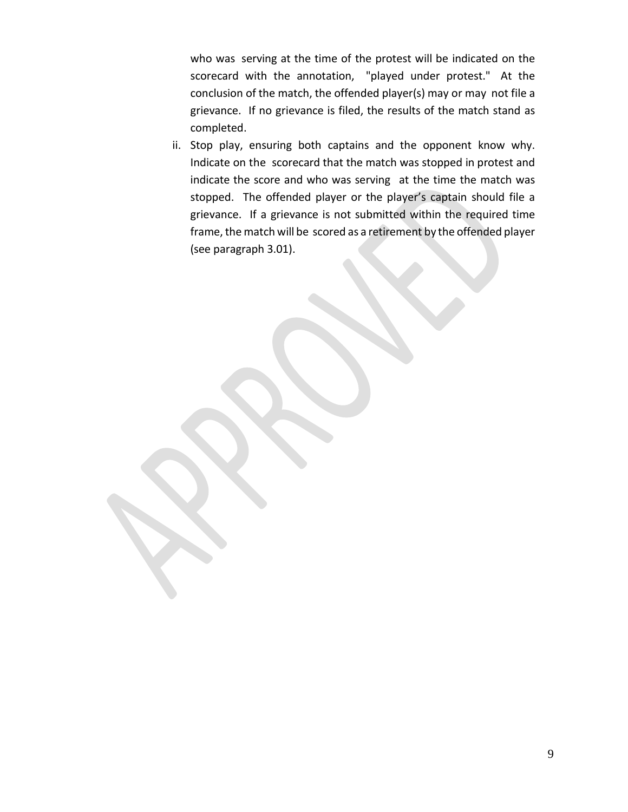who was serving at the time of the protest will be indicated on the scorecard with the annotation, "played under protest." At the conclusion of the match, the offended player(s) may or may not file a grievance. If no grievance is filed, the results of the match stand as completed.

ii. Stop play, ensuring both captains and the opponent know why. Indicate on the scorecard that the match was stopped in protest and indicate the score and who was serving at the time the match was stopped. The offended player or the player's captain should file a grievance. If a grievance is not submitted within the required time frame, the match will be scored as a retirement by the offended player (see paragraph 3.01).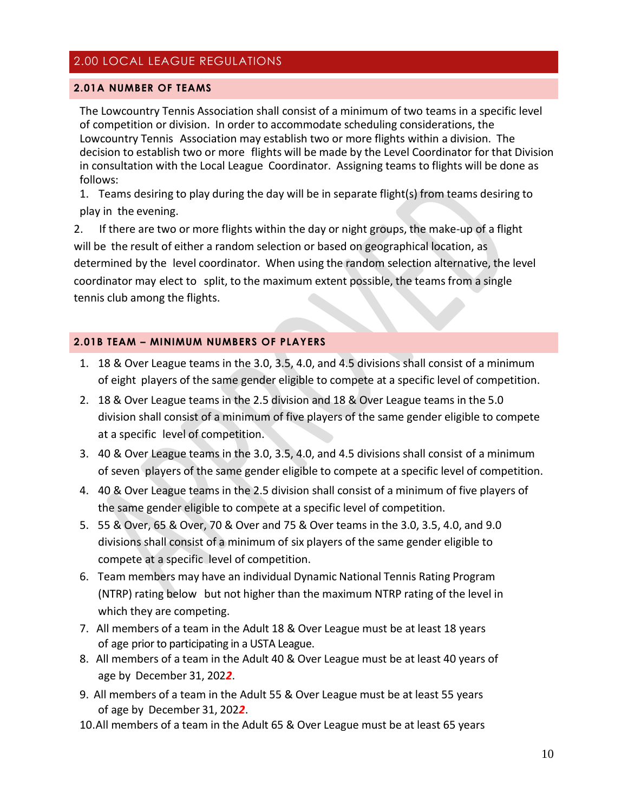### <span id="page-9-0"></span>2.00 LOCAL LEAGUE REGULATIONS

#### <span id="page-9-1"></span>**2.01A NUMBER OF TEAMS**

The Lowcountry Tennis Association shall consist of a minimum of two teams in a specific level of competition or division. In order to accommodate scheduling considerations, the Lowcountry Tennis Association may establish two or more flights within a division. The decision to establish two or more flights will be made by the Level Coordinator for that Division in consultation with the Local League Coordinator. Assigning teams to flights will be done as follows:

1. Teams desiring to play during the day will be in separate flight(s) from teams desiring to play in the evening.

2. If there are two or more flights within the day or night groups, the make-up of a flight will be the result of either a random selection or based on geographical location, as determined by the level coordinator. When using the random selection alternative, the level coordinator may elect to split, to the maximum extent possible, the teamsfrom a single tennis club among the flights.

#### <span id="page-9-2"></span>**2.01B TEAM – MINIMUM NUMBERS OF PLAYERS**

- 1. 18 & Over League teams in the 3.0, 3.5, 4.0, and 4.5 divisions shall consist of a minimum of eight players of the same gender eligible to compete at a specific level of competition.
- 2. 18 & Over League teams in the 2.5 division and 18 & Over League teams in the 5.0 division shall consist of a minimum of five players of the same gender eligible to compete at a specific level of competition.
- 3. 40 & Over League teams in the 3.0, 3.5, 4.0, and 4.5 divisions shall consist of a minimum of seven players of the same gender eligible to compete at a specific level of competition.
- 4. 40 & Over League teams in the 2.5 division shall consist of a minimum of five players of the same gender eligible to compete at a specific level of competition.
- 5. 55 & Over, 65 & Over, 70 & Over and 75 & Over teams in the 3.0, 3.5, 4.0, and 9.0 divisions shall consist of a minimum of six players of the same gender eligible to compete at a specific level of competition.
- 6. Team members may have an individual Dynamic National Tennis Rating Program (NTRP) rating below but not higher than the maximum NTRP rating of the level in which they are competing.
- 7. All members of a team in the Adult 18 & Over League must be at least 18 years of age prior to participating in a USTA League.
- 8. All members of a team in the Adult 40 & Over League must be at least 40 years of age by December 31, 202*2*.
- 9. All members of a team in the Adult 55 & Over League must be at least 55 years of age by December 31, 202*2*.
- 10.All members of a team in the Adult 65 & Over League must be at least 65 years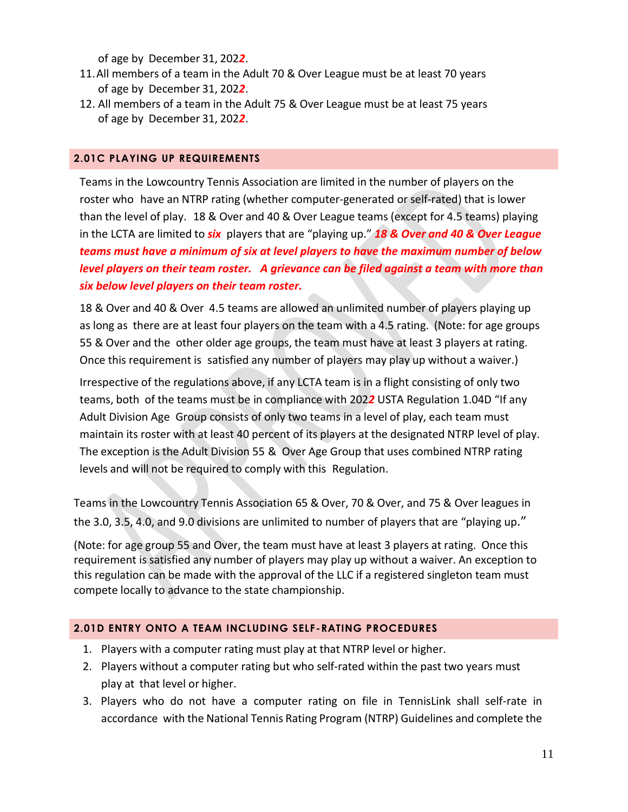of age by December 31, 202*2*.

- 11.All members of a team in the Adult 70 & Over League must be at least 70 years of age by December 31, 202*2*.
- 12. All members of a team in the Adult 75 & Over League must be at least 75 years of age by December 31, 202*2*.

#### <span id="page-10-0"></span>**2.01C PLAYING UP REQUIREMENTS**

Teams in the Lowcountry Tennis Association are limited in the number of players on the roster who have an NTRP rating (whether computer-generated or self-rated) that is lower than the level of play. 18 & Over and 40 & Over League teams (except for 4.5 teams) playing in the LCTA are limited to *six* players that are "playing up." *18 & Over and 40 & Over League teams must have a minimum of six at level players to have the maximum number of below level players on their team roster. A grievance can be filed against a team with more than six below level players on their team roster.* 

18 & Over and 40 & Over 4.5 teams are allowed an unlimited number of players playing up as long as there are at least four players on the team with a 4.5 rating. (Note: for age groups 55 & Over and the other older age groups, the team must have at least 3 players at rating. Once this requirement is satisfied any number of players may play up without a waiver.)

Irrespective of the regulations above, if any LCTA team is in a flight consisting of only two teams, both of the teams must be in compliance with 202*2* USTA Regulation 1.04D "If any Adult Division Age Group consists of only two teams in a level of play, each team must maintain its roster with at least 40 percent of its players at the designated NTRP level of play. The exception is the Adult Division 55 & Over Age Group that uses combined NTRP rating levels and will not be required to comply with this Regulation.

Teams in the Lowcountry Tennis Association 65 & Over, 70 & Over, and 75 & Over leagues in the 3.0, 3.5, 4.0, and 9.0 divisions are unlimited to number of players that are "playing up."

(Note: for age group 55 and Over, the team must have at least 3 players at rating. Once this requirement is satisfied any number of players may play up without a waiver. An exception to this regulation can be made with the approval of the LLC if a registered singleton team must compete locally to advance to the state championship.

#### <span id="page-10-1"></span>**2.01D ENTRY ONTO A TEAM INCLUDING SELF-RATING PROCEDURES**

- 1. Players with a computer rating must play at that NTRP level or higher.
- 2. Players without a computer rating but who self-rated within the past two years must play at that level or higher.
- 3. Players who do not have a computer rating on file in TennisLink shall self-rate in accordance with the National Tennis Rating Program (NTRP) Guidelines and complete the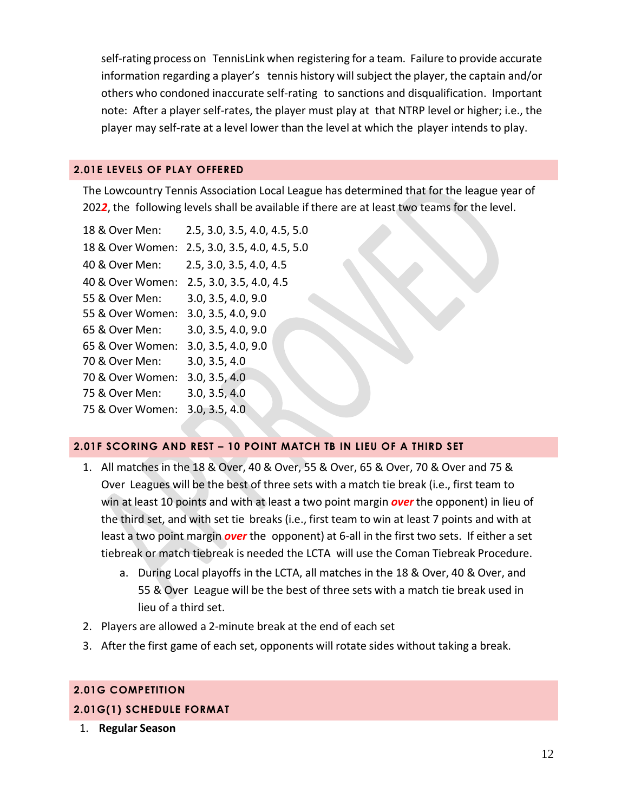self-rating process on TennisLink when registering for a team. Failure to provide accurate information regarding a player's tennis history willsubject the player, the captain and/or others who condoned inaccurate self-rating to sanctions and disqualification. Important note: After a player self-rates, the player must play at that NTRP level or higher; i.e., the player may self-rate at a level lower than the level at which the player intends to play.

#### <span id="page-11-0"></span>**2.01E LEVELS OF PLAY OFFERED**

The Lowcountry Tennis Association Local League has determined that for the league year of 202*2*, the following levels shall be available if there are at least two teams for the level.

| 18 & Over Men:   | 2.5, 3.0, 3.5, 4.0, 4.5, 5.0 |
|------------------|------------------------------|
| 18 & Over Women: | 2.5, 3.0, 3.5, 4.0, 4.5, 5.0 |
| 40 & Over Men:   | 2.5, 3.0, 3.5, 4.0, 4.5      |
| 40 & Over Women: | 2.5, 3.0, 3.5, 4.0, 4.5      |
| 55 & Over Men:   | 3.0, 3.5, 4.0, 9.0           |
| 55 & Over Women: | 3.0, 3.5, 4.0, 9.0           |
| 65 & Over Men:   | 3.0, 3.5, 4.0, 9.0           |
| 65 & Over Women: | 3.0, 3.5, 4.0, 9.0           |
| 70 & Over Men:   | 3.0, 3.5, 4.0                |
| 70 & Over Women: | 3.0, 3.5, 4.0                |
| 75 & Over Men:   | 3.0, 3.5, 4.0                |
| 75 & Over Women: | 3.0, 3.5, 4.0                |
|                  |                              |

#### <span id="page-11-1"></span>**2.01F SCORING AND REST – 10 POINT MATCH TB IN LIEU OF A THIRD SET**

- 1. All matches in the 18 & Over, 40 & Over, 55 & Over, 65 & Over, 70 & Over and 75 & Over Leagues will be the best of three sets with a match tie break (i.e., first team to win at least 10 points and with at least a two point margin *over* the opponent) in lieu of the third set, and with set tie breaks (i.e., first team to win at least 7 points and with at least a two point margin *over* the opponent) at 6-all in the first two sets. If either a set tiebreak or match tiebreak is needed the LCTA will use the Coman Tiebreak Procedure.
	- a. During Local playoffs in the LCTA, all matches in the 18 & Over, 40 & Over, and 55 & Over League will be the best of three sets with a match tie break used in lieu of a third set.
- 2. Players are allowed a 2-minute break at the end of each set
- 3. After the first game of each set, opponents will rotate sides without taking a break.

#### <span id="page-11-2"></span>**2.01G COMPETITION**

#### **2.01G(1) SCHEDULE FORMAT**

1. **Regular Season**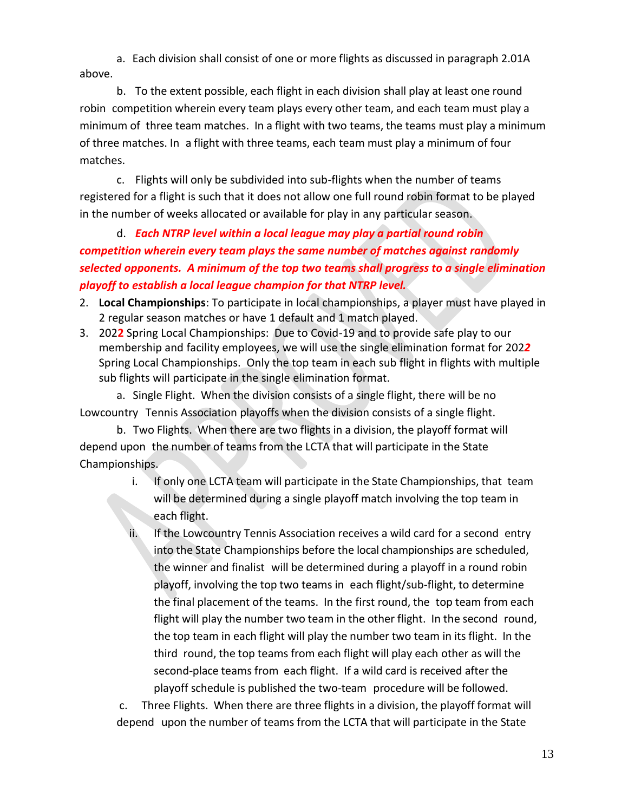a. Each division shall consist of one or more flights as discussed in paragraph 2.01A above.

b. To the extent possible, each flight in each division shall play at least one round robin competition wherein every team plays every other team, and each team must play a minimum of three team matches. In a flight with two teams, the teams must play a minimum of three matches. In a flight with three teams, each team must play a minimum of four matches.

c. Flights will only be subdivided into sub-flights when the number of teams registered for a flight is such that it does not allow one full round robin format to be played in the number of weeks allocated or available for play in any particular season.

d. *Each NTRP level within a local league may play a partial round robin competition wherein every team plays the same number of matches against randomly selected opponents. A minimum of the top two teams shall progress to a single elimination playoff to establish a local league champion for that NTRP level.* 

- 2. **Local Championships**: To participate in local championships, a player must have played in 2 regular season matches or have 1 default and 1 match played.
- 3. 202**2** Spring Local Championships: Due to Covid-19 and to provide safe play to our membership and facility employees, we will use the single elimination format for 202*2* Spring Local Championships. Only the top team in each sub flight in flights with multiple sub flights will participate in the single elimination format.

a. Single Flight. When the division consists of a single flight, there will be no Lowcountry Tennis Association playoffs when the division consists of a single flight.

b. Two Flights. When there are two flights in a division, the playoff format will depend upon the number of teams from the LCTA that will participate in the State Championships.

- i. If only one LCTA team will participate in the State Championships, that team will be determined during a single playoff match involving the top team in each flight.
- If the Lowcountry Tennis Association receives a wild card for a second entry into the State Championships before the local championships are scheduled, the winner and finalist will be determined during a playoff in a round robin playoff, involving the top two teams in each flight/sub-flight, to determine the final placement of the teams. In the first round, the top team from each flight will play the number two team in the other flight. In the second round, the top team in each flight will play the number two team in its flight. In the third round, the top teams from each flight will play each other as will the second-place teams from each flight. If a wild card is received after the playoff schedule is published the two-team procedure will be followed.

c. Three Flights. When there are three flights in a division, the playoff format will depend upon the number of teams from the LCTA that will participate in the State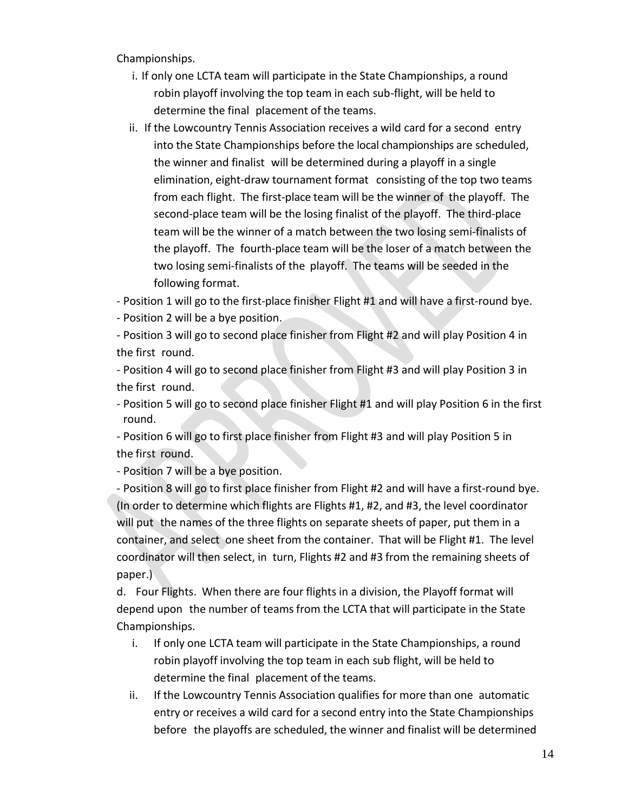Championships.

- i. If only one LCTA team will participate in the State Championships, a round robin playoff involving the top team in each sub-flight, will be held to determine the final placement of the teams.
- ii. If the Lowcountry Tennis Association receives a wild card for a second entry into the State Championships before the local championships are scheduled, the winner and finalist will be determined during a playoff in a single elimination, eight-draw tournament format consisting of the top two teams from each flight. The first-place team will be the winner of the playoff. The second-place team will be the losing finalist of the playoff. The third-place team will be the winner of a match between the two losing semi-finalists of the playoff. The fourth-place team will be the loser of a match between the two losing semi-finalists of the playoff. The teams will be seeded in the following format.

- Position 1 will go to the first-place finisher Flight #1 and will have a first-round bye.

- Position 2 will be a bye position.

- Position 3 will go to second place finisher from Flight #2 and will play Position 4 in the first round.

- Position 4 will go to second place finisher from Flight #3 and will play Position 3 in the first round.

- Position 5 will go to second place finisher Flight #1 and will play Position 6 in the first round.

- Position 6 will go to first place finisher from Flight #3 and will play Position 5 in the first round.

- Position 7 will be a bye position.

- Position 8 will go to first place finisher from Flight #2 and will have a first-round bye. (In order to determine which flights are Flights #1, #2, and #3, the level coordinator will put the names of the three flights on separate sheets of paper, put them in a container, and select one sheet from the container. That will be Flight #1. The level coordinator will then select, in turn, Flights #2 and #3 from the remaining sheets of paper.)

d. Four Flights. When there are four flights in a division, the Playoff format will depend upon the number of teams from the LCTA that will participate in the State Championships.

- i. If only one LCTA team will participate in the State Championships, a round robin playoff involving the top team in each sub flight, will be held to determine the final placement of the teams.
- ii. If the Lowcountry Tennis Association qualifies for more than one automatic entry or receives a wild card for a second entry into the State Championships before the playoffs are scheduled, the winner and finalist will be determined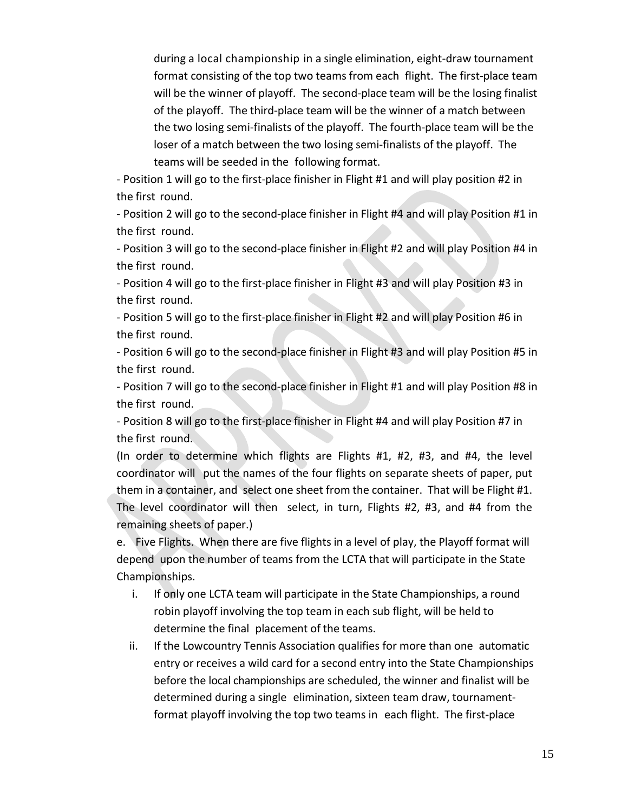during a local championship in a single elimination, eight-draw tournament format consisting of the top two teams from each flight. The first-place team will be the winner of playoff. The second-place team will be the losing finalist of the playoff. The third-place team will be the winner of a match between the two losing semi-finalists of the playoff. The fourth-place team will be the loser of a match between the two losing semi-finalists of the playoff. The teams will be seeded in the following format.

- Position 1 will go to the first-place finisher in Flight #1 and will play position #2 in the first round.

- Position 2 will go to the second-place finisher in Flight #4 and will play Position #1 in the first round.

- Position 3 will go to the second-place finisher in Flight #2 and will play Position #4 in the first round.

- Position 4 will go to the first-place finisher in Flight #3 and will play Position #3 in the first round.

- Position 5 will go to the first-place finisher in Flight #2 and will play Position #6 in the first round.

- Position 6 will go to the second-place finisher in Flight #3 and will play Position #5 in the first round.

- Position 7 will go to the second-place finisher in Flight #1 and will play Position #8 in the first round.

- Position 8 will go to the first-place finisher in Flight #4 and will play Position #7 in the first round.

(In order to determine which flights are Flights #1, #2, #3, and #4, the level coordinator will put the names of the four flights on separate sheets of paper, put them in a container, and select one sheet from the container. That will be Flight #1. The level coordinator will then select, in turn, Flights #2, #3, and #4 from the remaining sheets of paper.)

e. Five Flights. When there are five flights in a level of play, the Playoff format will depend upon the number of teams from the LCTA that will participate in the State Championships.

- i. If only one LCTA team will participate in the State Championships, a round robin playoff involving the top team in each sub flight, will be held to determine the final placement of the teams.
- ii. If the Lowcountry Tennis Association qualifies for more than one automatic entry or receives a wild card for a second entry into the State Championships before the local championships are scheduled, the winner and finalist will be determined during a single elimination, sixteen team draw, tournamentformat playoff involving the top two teams in each flight. The first-place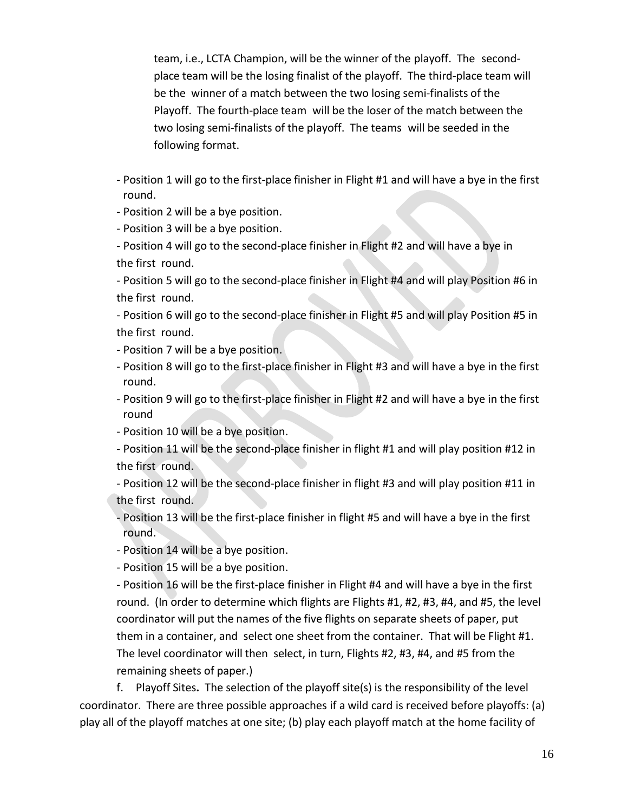team, i.e., LCTA Champion, will be the winner of the playoff. The secondplace team will be the losing finalist of the playoff. The third-place team will be the winner of a match between the two losing semi-finalists of the Playoff. The fourth-place team will be the loser of the match between the two losing semi-finalists of the playoff. The teams will be seeded in the following format.

- Position 1 will go to the first-place finisher in Flight #1 and will have a bye in the first round.
- Position 2 will be a bye position.
- Position 3 will be a bye position.
- Position 4 will go to the second-place finisher in Flight #2 and will have a bye in the first round.

- Position 5 will go to the second-place finisher in Flight #4 and will play Position #6 in the first round.

- Position 6 will go to the second-place finisher in Flight #5 and will play Position #5 in the first round.

- Position 7 will be a bye position.
- Position 8 will go to the first-place finisher in Flight #3 and will have a bye in the first round.
- Position 9 will go to the first-place finisher in Flight #2 and will have a bye in the first round
- Position 10 will be a bye position.
- Position 11 will be the second-place finisher in flight #1 and will play position #12 in the first round.
- Position 12 will be the second-place finisher in flight #3 and will play position #11 in the first round.
- Position 13 will be the first-place finisher in flight #5 and will have a bye in the first round.
- Position 14 will be a bye position.
- Position 15 will be a bye position.

- Position 16 will be the first-place finisher in Flight #4 and will have a bye in the first round. (In order to determine which flights are Flights #1, #2, #3, #4, and #5, the level coordinator will put the names of the five flights on separate sheets of paper, put them in a container, and select one sheet from the container. That will be Flight #1. The level coordinator will then select, in turn, Flights #2, #3, #4, and #5 from the remaining sheets of paper.)

f. Playoff Sites**.** The selection of the playoff site(s) is the responsibility of the level coordinator. There are three possible approaches if a wild card is received before playoffs: (a) play all of the playoff matches at one site; (b) play each playoff match at the home facility of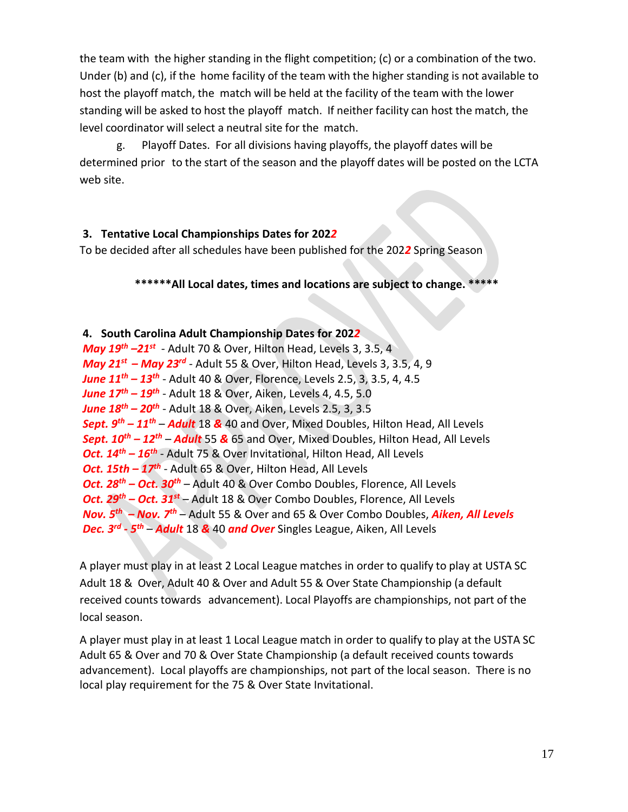the team with the higher standing in the flight competition; (c) or a combination of the two. Under (b) and (c), if the home facility of the team with the higher standing is not available to host the playoff match, the match will be held at the facility of the team with the lower standing will be asked to host the playoff match. If neither facility can host the match, the level coordinator will select a neutral site for the match.

g. Playoff Dates. For all divisions having playoffs, the playoff dates will be determined prior to the start of the season and the playoff dates will be posted on the LCTA web site.

#### **3. Tentative Local Championships Dates for 202***2*

To be decided after all schedules have been published for the 202*2* Spring Season

#### **\*\*\*\*\*\*All Local dates, times and locations are subject to change. \*\*\*\*\***

#### **4. South Carolina Adult Championship Dates for 202***2*

*May 19th –21 st* - Adult 70 & Over, Hilton Head, Levels 3, 3.5, 4 *May 21 st – May 23 rd* - Adult 55 & Over, Hilton Head, Levels 3, 3.5, 4, 9 *June 11 th – 13 th* - Adult 40 & Over, Florence, Levels 2.5, 3, 3.5, 4, 4.5 *June 17 th – 19th* - Adult 18 & Over, Aiken, Levels 4, 4.5, 5.0 *June 18 th – 20th* - Adult 18 & Over, Aiken, Levels 2.5, 3, 3.5 *Sept. 9 th – 11 th* – *Adult* 18 *&* 40 and Over, Mixed Doubles, Hilton Head, All Levels *Sept. 10th – 12 th* – *Adult* 55 *&* 65 and Over, Mixed Doubles, Hilton Head, All Levels **Oct. 14<sup>th</sup> – 16<sup>th</sup>** - Adult 75 & Over Invitational, Hilton Head, All Levels *Oct. 15th – 17 th* - Adult 65 & Over, Hilton Head, All Levels *Oct. 28 th – Oct. 30 th* – Adult 40 & Over Combo Doubles, Florence, All Levels *Oct. 29th – Oct. 31 st* – Adult 18 & Over Combo Doubles, Florence, All Levels *Nov. 5 th – Nov. 7 th* – Adult 55 & Over and 65 & Over Combo Doubles, *Aiken, All Levels Dec. 3 rd - 5 th* – *Adult* 18 *&* 40 *and Over* Singles League, Aiken, All Levels

A player must play in at least 2 Local League matches in order to qualify to play at USTA SC Adult 18 & Over, Adult 40 & Over and Adult 55 & Over State Championship (a default received counts towards advancement). Local Playoffs are championships, not part of the local season.

A player must play in at least 1 Local League match in order to qualify to play at the USTA SC Adult 65 & Over and 70 & Over State Championship (a default received counts towards advancement). Local playoffs are championships, not part of the local season. There is no local play requirement for the 75 & Over State Invitational.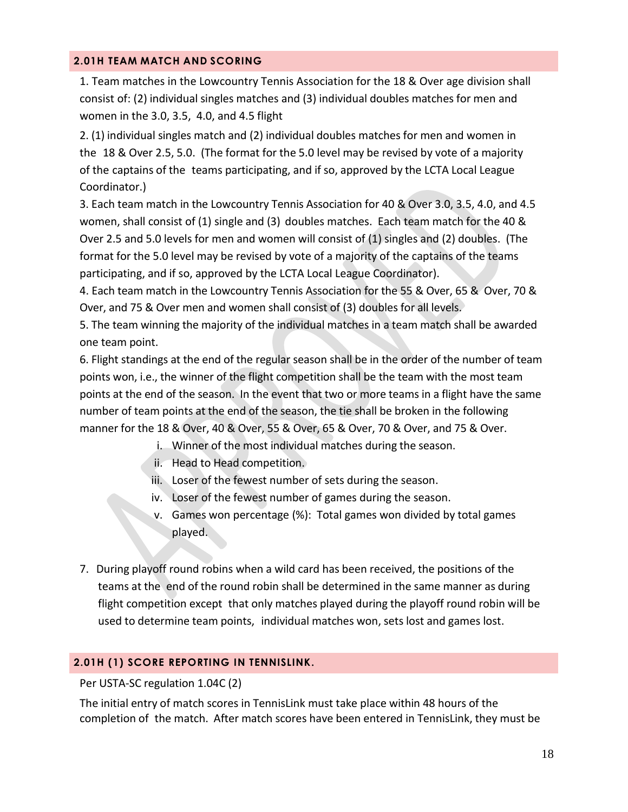#### <span id="page-17-0"></span>**2.01H TEAM MATCH AND SCORING**

1. Team matches in the Lowcountry Tennis Association for the 18 & Over age division shall consist of: (2) individual singles matches and (3) individual doubles matches for men and women in the 3.0, 3.5, 4.0, and 4.5 flight

2. (1) individual singles match and (2) individual doubles matches for men and women in the 18 & Over 2.5, 5.0. (The format for the 5.0 level may be revised by vote of a majority of the captains of the teams participating, and if so, approved by the LCTA Local League Coordinator.)

3. Each team match in the Lowcountry Tennis Association for 40 & Over 3.0, 3.5, 4.0, and 4.5 women, shall consist of (1) single and (3) doubles matches. Each team match for the 40 & Over 2.5 and 5.0 levels for men and women will consist of (1) singles and (2) doubles. (The format for the 5.0 level may be revised by vote of a majority of the captains of the teams participating, and if so, approved by the LCTA Local League Coordinator).

4. Each team match in the Lowcountry Tennis Association for the 55 & Over, 65 & Over, 70 & Over, and 75 & Over men and women shall consist of (3) doubles for all levels.

5. The team winning the majority of the individual matches in a team match shall be awarded one team point.

6. Flight standings at the end of the regular season shall be in the order of the number of team points won, i.e., the winner of the flight competition shall be the team with the most team points at the end of the season. In the event that two or more teams in a flight have the same number of team points at the end of the season, the tie shall be broken in the following manner for the 18 & Over, 40 & Over, 55 & Over, 65 & Over, 70 & Over, and 75 & Over.

- i. Winner of the most individual matches during the season.
- ii. Head to Head competition.
- iii. Loser of the fewest number of sets during the season.
- iv. Loser of the fewest number of games during the season.
- v. Games won percentage (%): Total games won divided by total games played.
- 7. During playoff round robins when a wild card has been received, the positions of the teams at the end of the round robin shall be determined in the same manner as during flight competition except that only matches played during the playoff round robin will be used to determine team points, individual matches won, sets lost and games lost.

#### <span id="page-17-1"></span>**2.01H (1) SCORE REPORTING IN TENNISLINK.**

#### Per USTA-SC regulation 1.04C (2)

The initial entry of match scores in TennisLink must take place within 48 hours of the completion of the match. After match scores have been entered in TennisLink, they must be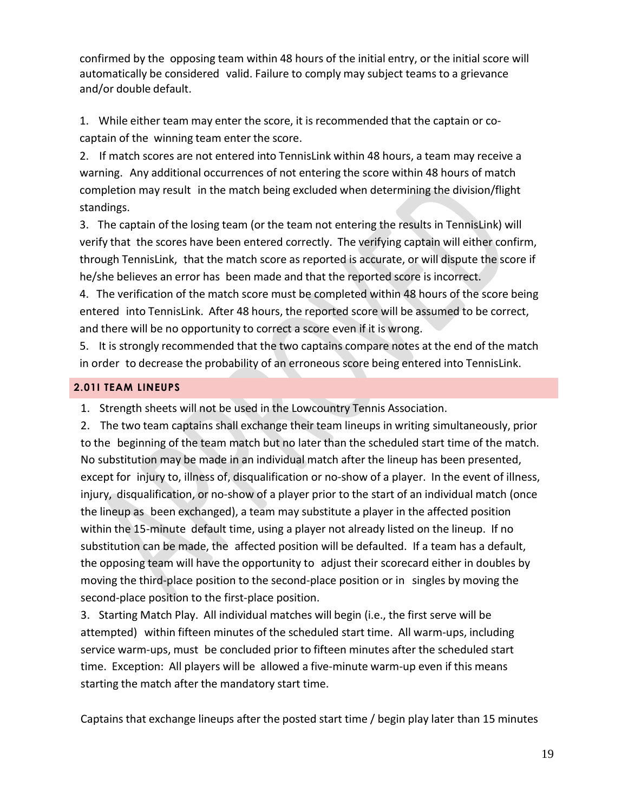confirmed by the opposing team within 48 hours of the initial entry, or the initial score will automatically be considered valid. Failure to comply may subject teams to a grievance and/or double default.

1. While either team may enter the score, it is recommended that the captain or cocaptain of the winning team enter the score.

2. If match scores are not entered into TennisLink within 48 hours, a team may receive a warning. Any additional occurrences of not entering the score within 48 hours of match completion may result in the match being excluded when determining the division/flight standings.

3. The captain of the losing team (or the team not entering the results in TennisLink) will verify that the scores have been entered correctly. The verifying captain will either confirm, through TennisLink, that the match score as reported is accurate, or will dispute the score if he/she believes an error has been made and that the reported score is incorrect.

4. The verification of the match score must be completed within 48 hours of the score being entered into TennisLink. After 48 hours, the reported score will be assumed to be correct, and there will be no opportunity to correct a score even if it is wrong.

5. It is strongly recommended that the two captains compare notes at the end of the match in order to decrease the probability of an erroneous score being entered into TennisLink.

#### <span id="page-18-0"></span>**2.01I TEAM LINEUPS**

1. Strength sheets will not be used in the Lowcountry Tennis Association.

2. The two team captains shall exchange their team lineups in writing simultaneously, prior to the beginning of the team match but no later than the scheduled start time of the match. No substitution may be made in an individual match after the lineup has been presented, except for injury to, illness of, disqualification or no-show of a player. In the event of illness, injury, disqualification, or no-show of a player prior to the start of an individual match (once the lineup as been exchanged), a team may substitute a player in the affected position within the 15-minute default time, using a player not already listed on the lineup. If no substitution can be made, the affected position will be defaulted. If a team has a default, the opposing team will have the opportunity to adjust their scorecard either in doubles by moving the third-place position to the second-place position or in singles by moving the second-place position to the first-place position.

3. Starting Match Play. All individual matches will begin (i.e., the first serve will be attempted) within fifteen minutes of the scheduled start time. All warm-ups, including service warm-ups, must be concluded prior to fifteen minutes after the scheduled start time. Exception: All players will be allowed a five-minute warm-up even if this means starting the match after the mandatory start time.

Captains that exchange lineups after the posted start time / begin play later than 15 minutes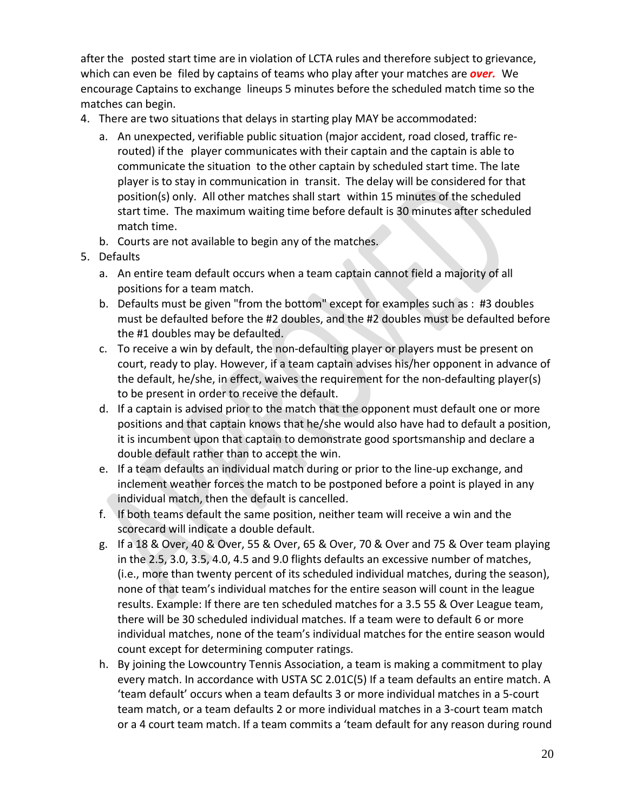after the posted start time are in violation of LCTA rules and therefore subject to grievance, which can even be filed by captains of teams who play after your matches are *over.* We encourage Captains to exchange lineups 5 minutes before the scheduled match time so the matches can begin.

- 4. There are two situations that delays in starting play MAY be accommodated:
	- a. An unexpected, verifiable public situation (major accident, road closed, traffic rerouted) if the player communicates with their captain and the captain is able to communicate the situation to the other captain by scheduled start time. The late player is to stay in communication in transit. The delay will be considered for that position(s) only. All other matches shall start within 15 minutes of the scheduled start time. The maximum waiting time before default is 30 minutes after scheduled match time.
	- b. Courts are not available to begin any of the matches.
- 5. Defaults
	- a. An entire team default occurs when a team captain cannot field a majority of all positions for a team match.
	- b. Defaults must be given "from the bottom" except for examples such as : #3 doubles must be defaulted before the #2 doubles, and the #2 doubles must be defaulted before the #1 doubles may be defaulted.
	- c. To receive a win by default, the non-defaulting player or players must be present on court, ready to play. However, if a team captain advises his/her opponent in advance of the default, he/she, in effect, waives the requirement for the non-defaulting player(s) to be present in order to receive the default.
	- d. If a captain is advised prior to the match that the opponent must default one or more positions and that captain knows that he/she would also have had to default a position, it is incumbent upon that captain to demonstrate good sportsmanship and declare a double default rather than to accept the win.
	- e. If a team defaults an individual match during or prior to the line-up exchange, and inclement weather forces the match to be postponed before a point is played in any individual match, then the default is cancelled.
	- f. If both teams default the same position, neither team will receive a win and the scorecard will indicate a double default.
	- g. If a 18 & Over, 40 & Over, 55 & Over, 65 & Over, 70 & Over and 75 & Over team playing in the 2.5, 3.0, 3.5, 4.0, 4.5 and 9.0 flights defaults an excessive number of matches, (i.e., more than twenty percent of its scheduled individual matches, during the season), none of that team's individual matches for the entire season will count in the league results. Example: If there are ten scheduled matches for a 3.5 55 & Over League team, there will be 30 scheduled individual matches. If a team were to default 6 or more individual matches, none of the team's individual matches for the entire season would count except for determining computer ratings.
	- h. By joining the Lowcountry Tennis Association, a team is making a commitment to play every match. In accordance with USTA SC 2.01C(5) If a team defaults an entire match. A 'team default' occurs when a team defaults 3 or more individual matches in a 5-court team match, or a team defaults 2 or more individual matches in a 3-court team match or a 4 court team match. If a team commits a 'team default for any reason during round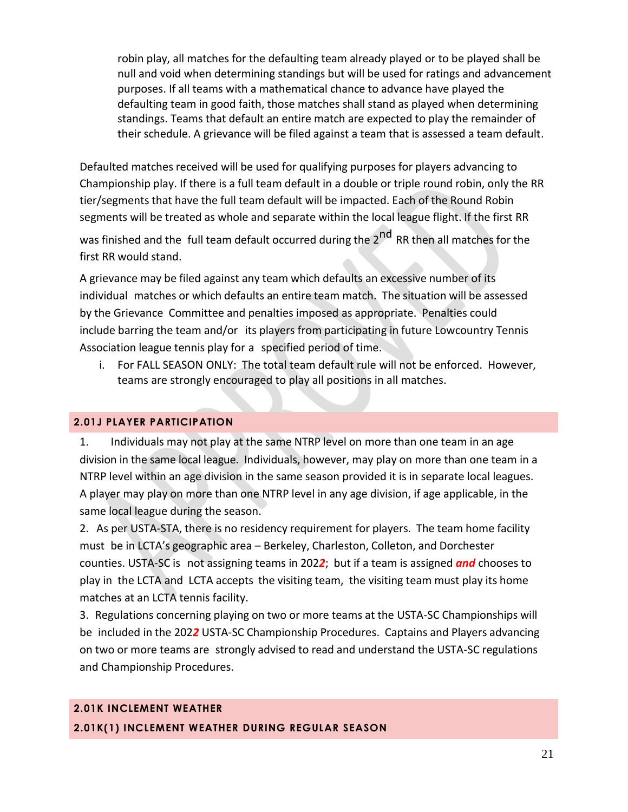robin play, all matches for the defaulting team already played or to be played shall be null and void when determining standings but will be used for ratings and advancement purposes. If all teams with a mathematical chance to advance have played the defaulting team in good faith, those matches shall stand as played when determining standings. Teams that default an entire match are expected to play the remainder of their schedule. A grievance will be filed against a team that is assessed a team default.

Defaulted matches received will be used for qualifying purposes for players advancing to Championship play. If there is a full team default in a double or triple round robin, only the RR tier/segments that have the full team default will be impacted. Each of the Round Robin segments will be treated as whole and separate within the local league flight. If the first RR

was finished and the full team default occurred during the 2<sup>nd</sup> RR then all matches for the first RR would stand.

A grievance may be filed against any team which defaults an excessive number of its individual matches or which defaults an entire team match. The situation will be assessed by the Grievance Committee and penalties imposed as appropriate. Penalties could include barring the team and/or its players from participating in future Lowcountry Tennis Association league tennis play for a specified period of time.

i. For FALL SEASON ONLY: The total team default rule will not be enforced. However, teams are strongly encouraged to play all positions in all matches.

#### <span id="page-20-0"></span>**2.01J PLAYER PARTICIPATION**

1. Individuals may not play at the same NTRP level on more than one team in an age division in the same local league. Individuals, however, may play on more than one team in a NTRP level within an age division in the same season provided it is in separate local leagues. A player may play on more than one NTRP level in any age division, if age applicable, in the same local league during the season.

2. As per USTA-STA, there is no residency requirement for players. The team home facility must be in LCTA's geographic area – Berkeley, Charleston, Colleton, and Dorchester counties. USTA-SC is not assigning teams in 202*2*; but if a team is assigned *and* chooses to play in the LCTA and LCTA accepts the visiting team, the visiting team must play its home matches at an LCTA tennis facility.

3. Regulations concerning playing on two or more teams at the USTA-SC Championships will be included in the 202*2* USTA-SC Championship Procedures. Captains and Players advancing on two or more teams are strongly advised to read and understand the USTA-SC regulations and Championship Procedures.

### **2.01K INCLEMENT WEATHER 2.01K(1) INCLEMENT WEATHER DURING REGULAR SEASON**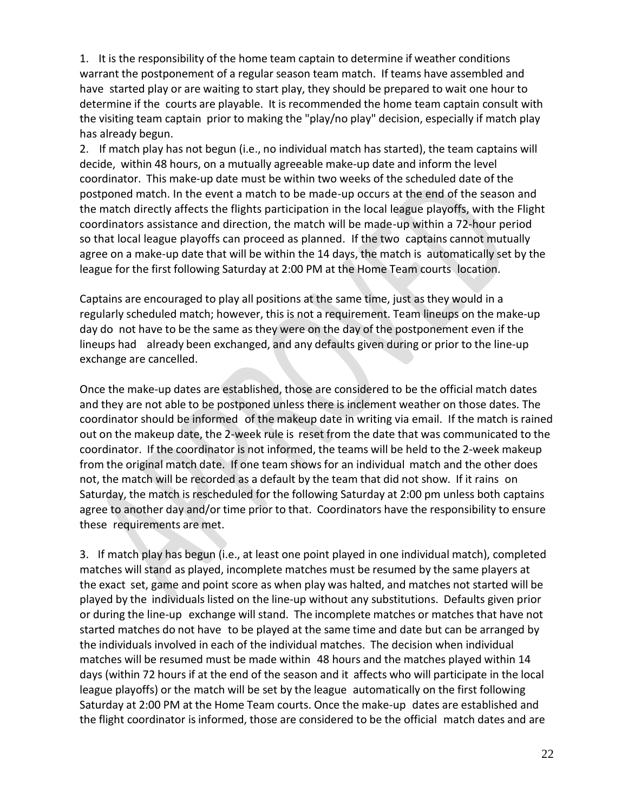1. It is the responsibility of the home team captain to determine if weather conditions warrant the postponement of a regular season team match. If teams have assembled and have started play or are waiting to start play, they should be prepared to wait one hour to determine if the courts are playable. It is recommended the home team captain consult with the visiting team captain prior to making the "play/no play" decision, especially if match play has already begun.

2. If match play has not begun (i.e., no individual match has started), the team captains will decide, within 48 hours, on a mutually agreeable make-up date and inform the level coordinator. This make-up date must be within two weeks of the scheduled date of the postponed match. In the event a match to be made-up occurs at the end of the season and the match directly affects the flights participation in the local league playoffs, with the Flight coordinators assistance and direction, the match will be made-up within a 72-hour period so that local league playoffs can proceed as planned. If the two captains cannot mutually agree on a make-up date that will be within the 14 days, the match is automatically set by the league for the first following Saturday at 2:00 PM at the Home Team courts location.

Captains are encouraged to play all positions at the same time, just as they would in a regularly scheduled match; however, this is not a requirement. Team lineups on the make-up day do not have to be the same as they were on the day of the postponement even if the lineups had already been exchanged, and any defaults given during or prior to the line-up exchange are cancelled.

Once the make-up dates are established, those are considered to be the official match dates and they are not able to be postponed unless there is inclement weather on those dates. The coordinator should be informed of the makeup date in writing via email. If the match is rained out on the makeup date, the 2-week rule is reset from the date that was communicated to the coordinator. If the coordinator is not informed, the teams will be held to the 2-week makeup from the original match date. If one team shows for an individual match and the other does not, the match will be recorded as a default by the team that did not show. If it rains on Saturday, the match is rescheduled for the following Saturday at 2:00 pm unless both captains agree to another day and/or time prior to that. Coordinators have the responsibility to ensure these requirements are met.

3. If match play has begun (i.e., at least one point played in one individual match), completed matches will stand as played, incomplete matches must be resumed by the same players at the exact set, game and point score as when play was halted, and matches not started will be played by the individuals listed on the line-up without any substitutions. Defaults given prior or during the line-up exchange will stand. The incomplete matches or matches that have not started matches do not have to be played at the same time and date but can be arranged by the individuals involved in each of the individual matches. The decision when individual matches will be resumed must be made within 48 hours and the matches played within 14 days (within 72 hours if at the end of the season and it affects who will participate in the local league playoffs) or the match will be set by the league automatically on the first following Saturday at 2:00 PM at the Home Team courts. Once the make-up dates are established and the flight coordinator is informed, those are considered to be the official match dates and are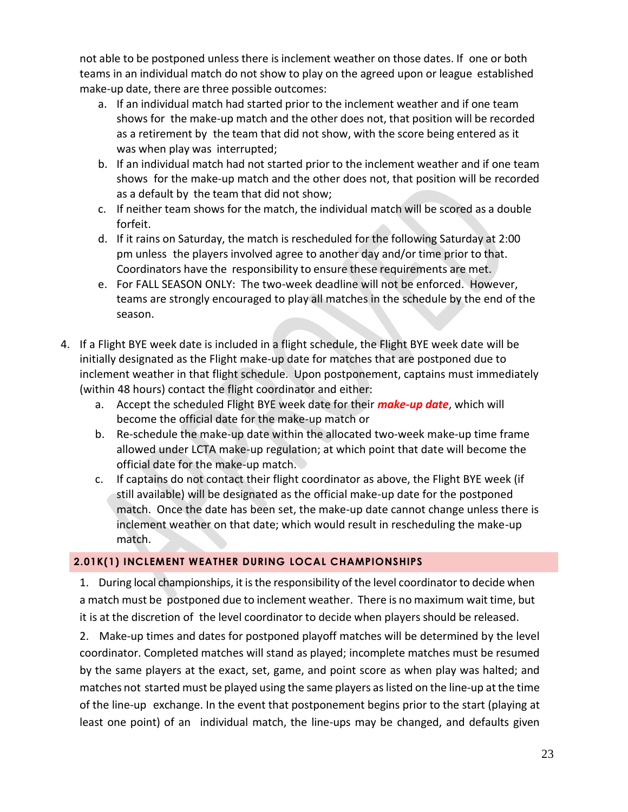not able to be postponed unless there is inclement weather on those dates. If one or both teams in an individual match do not show to play on the agreed upon or league established make-up date, there are three possible outcomes:

- a. If an individual match had started prior to the inclement weather and if one team shows for the make-up match and the other does not, that position will be recorded as a retirement by the team that did not show, with the score being entered as it was when play was interrupted;
- b. If an individual match had not started prior to the inclement weather and if one team shows for the make-up match and the other does not, that position will be recorded as a default by the team that did not show;
- c. If neither team shows for the match, the individual match will be scored as a double forfeit.
- d. If it rains on Saturday, the match is rescheduled for the following Saturday at 2:00 pm unless the players involved agree to another day and/or time prior to that. Coordinators have the responsibility to ensure these requirements are met.
- e. For FALL SEASON ONLY: The two-week deadline will not be enforced. However, teams are strongly encouraged to play all matches in the schedule by the end of the season.
- 4. If a Flight BYE week date is included in a flight schedule, the Flight BYE week date will be initially designated as the Flight make-up date for matches that are postponed due to inclement weather in that flight schedule. Upon postponement, captains must immediately (within 48 hours) contact the flight coordinator and either:
	- a. Accept the scheduled Flight BYE week date for their *make-up date*, which will become the official date for the make-up match or
	- b. Re-schedule the make-up date within the allocated two-week make-up time frame allowed under LCTA make-up regulation; at which point that date will become the official date for the make-up match.
	- c. If captains do not contact their flight coordinator as above, the Flight BYE week (if still available) will be designated as the official make-up date for the postponed match. Once the date has been set, the make-up date cannot change unless there is inclement weather on that date; which would result in rescheduling the make-up match.

#### <span id="page-22-0"></span>**2.01K(1) INCLEMENT WEATHER DURING LOCAL CHAMPIONSHIPS**

1. During local championships, it isthe responsibility of the level coordinator to decide when a match must be postponed due to inclement weather. There is no maximum wait time, but it is at the discretion of the level coordinator to decide when players should be released.

2. Make-up times and dates for postponed playoff matches will be determined by the level coordinator. Completed matches will stand as played; incomplete matches must be resumed by the same players at the exact, set, game, and point score as when play was halted; and matches not started must be played using the same players aslisted on the line-up at the time of the line-up exchange. In the event that postponement begins prior to the start (playing at least one point) of an individual match, the line-ups may be changed, and defaults given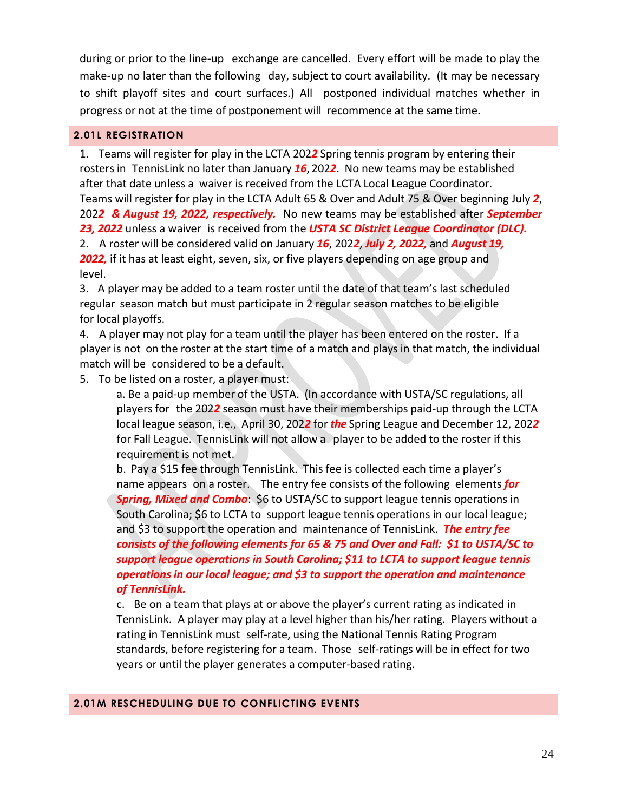during or prior to the line-up exchange are cancelled. Every effort will be made to play the make-up no later than the following day, subject to court availability. (It may be necessary to shift playoff sites and court surfaces.) All postponed individual matches whether in progress or not at the time of postponement will recommence at the same time.

#### <span id="page-23-0"></span>**2.01L REGISTRATION**

1. Teams will register for play in the LCTA 202*2* Spring tennis program by entering their rosters in TennisLink no later than January *16*, 202*2*. No new teams may be established after that date unless a waiver is received from the LCTA Local League Coordinator. Teams will register for play in the LCTA Adult 65 & Over and Adult 75 & Over beginning July *2*, 202*2 & August 19, 2022, respectively.* No new teams may be established after *September 23, 2022* unless a waiver is received from the *USTA SC District League Coordinator (DLC).* 2. A roster will be considered valid on January *16*, 202*2*, *July 2, 2022,* and *August 19,*  **2022**, if it has at least eight, seven, six, or five players depending on age group and level.

3. A player may be added to a team roster until the date of that team's last scheduled regular season match but must participate in 2 regular season matches to be eligible for local playoffs.

4. A player may not play for a team until the player has been entered on the roster. If a player is not on the roster at the start time of a match and plays in that match, the individual match will be considered to be a default.

5. To be listed on a roster, a player must:

a. Be a paid-up member of the USTA. (In accordance with USTA/SC regulations, all players for the 202*2* season must have their memberships paid-up through the LCTA local league season, i.e., April 30, 202*2* for *the* Spring League and December 12, 202*2* for Fall League. TennisLink will not allow a player to be added to the roster if this requirement is not met.

b. Pay a \$15 fee through TennisLink. This fee is collected each time a player's name appears on a roster. The entry fee consists of the following elements *for Spring, Mixed and Combo*: \$6 to USTA/SC to support league tennis operations in South Carolina; \$6 to LCTA to support league tennis operations in our local league; and \$3 to support the operation and maintenance of TennisLink. *The entry fee consists of the following elements for 65 & 75 and Over and Fall: \$1 to USTA/SC to support league operations in South Carolina; \$11 to LCTA to support league tennis operations in our local league; and \$3 to support the operation and maintenance of TennisLink.* 

c. Be on a team that plays at or above the player's current rating as indicated in TennisLink. A player may play at a level higher than his/her rating. Players without a rating in TennisLink must self-rate, using the National Tennis Rating Program standards, before registering for a team. Those self-ratings will be in effect for two years or until the player generates a computer-based rating.

#### <span id="page-23-1"></span>**2.01M RESCHEDULING DUE TO CONFLICTING EVENTS**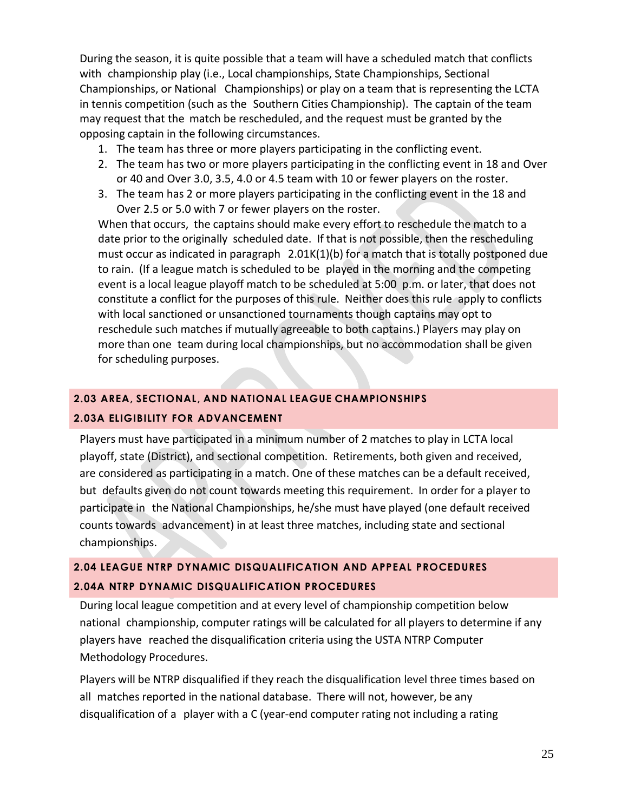During the season, it is quite possible that a team will have a scheduled match that conflicts with championship play (i.e., Local championships, State Championships, Sectional Championships, or National Championships) or play on a team that is representing the LCTA in tennis competition (such as the Southern Cities Championship). The captain of the team may request that the match be rescheduled, and the request must be granted by the opposing captain in the following circumstances.

- 1. The team has three or more players participating in the conflicting event.
- 2. The team has two or more players participating in the conflicting event in 18 and Over or 40 and Over 3.0, 3.5, 4.0 or 4.5 team with 10 or fewer players on the roster.
- 3. The team has 2 or more players participating in the conflicting event in the 18 and Over 2.5 or 5.0 with 7 or fewer players on the roster.

When that occurs, the captains should make every effort to reschedule the match to a date prior to the originally scheduled date. If that is not possible, then the rescheduling must occur as indicated in paragraph  $2.01K(1)(b)$  for a match that is totally postponed due to rain. (If a league match is scheduled to be played in the morning and the competing event is a local league playoff match to be scheduled at 5:00 p.m. or later, that does not constitute a conflict for the purposes of this rule. Neither does this rule apply to conflicts with local sanctioned or unsanctioned tournaments though captains may opt to reschedule such matches if mutually agreeable to both captains.) Players may play on more than one team during local championships, but no accommodation shall be given for scheduling purposes.

#### <span id="page-24-0"></span>**2.03 AREA, SECTIONAL, AND NATIONAL LEAGUE CHAMPIONSHIPS**

#### **2.03A ELIGIBILITY FOR ADVANCEMENT**

Players must have participated in a minimum number of 2 matches to play in LCTA local playoff, state (District), and sectional competition. Retirements, both given and received, are considered as participating in a match. One of these matches can be a default received, but defaults given do not count towards meeting this requirement. In order for a player to participate in the National Championships, he/she must have played (one default received counts towards advancement) in at least three matches, including state and sectional championships.

## <span id="page-24-1"></span>**2.04 LEAGUE NTRP DYNAMIC DISQUALIFICATION AND APPEAL PROCEDURES 2.04A NTRP DYNAMIC DISQUALIFICATION PROCEDURES**

During local league competition and at every level of championship competition below national championship, computer ratings will be calculated for all players to determine if any players have reached the disqualification criteria using the USTA NTRP Computer Methodology Procedures.

Players will be NTRP disqualified if they reach the disqualification level three times based on all matches reported in the national database. There will not, however, be any disqualification of a player with a C (year-end computer rating not including a rating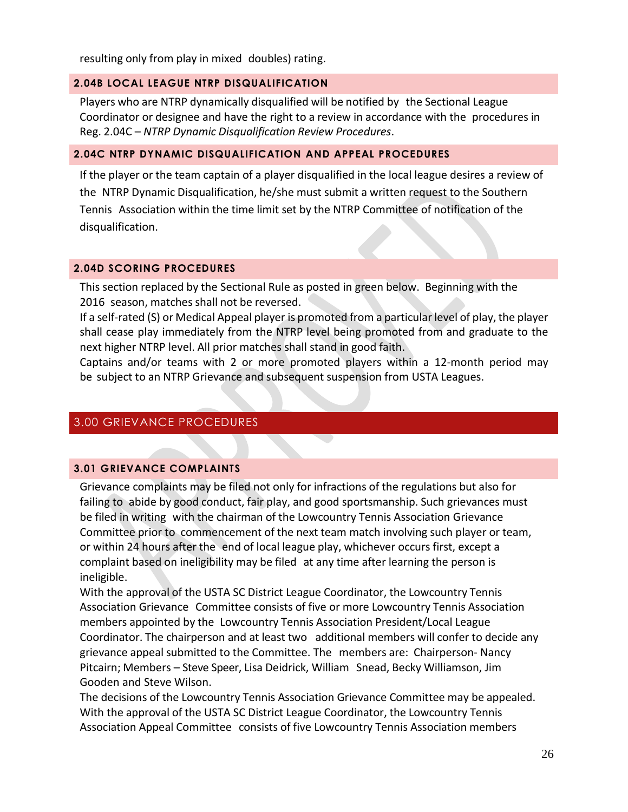resulting only from play in mixed doubles) rating.

#### **2.04B LOCAL LEAGUE NTRP DISQUALIFICATION**

Players who are NTRP dynamically disqualified will be notified by the Sectional League Coordinator or designee and have the right to a review in accordance with the procedures in Reg. 2.04C – *NTRP Dynamic Disqualification Review Procedures*.

#### <span id="page-25-0"></span>**2.04C NTRP DYNAMIC DISQUALIFICATION AND APPEAL PROCEDURES**

If the player or the team captain of a player disqualified in the local league desires a review of the NTRP Dynamic Disqualification, he/she must submit a written request to the Southern Tennis Association within the time limit set by the NTRP Committee of notification of the disqualification.

#### <span id="page-25-1"></span>**2.04D SCORING PROCEDURES**

This section replaced by the Sectional Rule as posted in green below. Beginning with the 2016 season, matches shall not be reversed.

If a self-rated (S) or Medical Appeal player is promoted from a particular level of play, the player shall cease play immediately from the NTRP level being promoted from and graduate to the next higher NTRP level. All prior matches shall stand in good faith.

Captains and/or teams with 2 or more promoted players within a 12-month period may be subject to an NTRP Grievance and subsequent suspension from USTA Leagues.

#### <span id="page-25-2"></span>3.00 GRIEVANCE PROCEDURES

#### <span id="page-25-3"></span>**3.01 GRIEVANCE COMPLAINTS**

Grievance complaints may be filed not only for infractions of the regulations but also for failing to abide by good conduct, fair play, and good sportsmanship. Such grievances must be filed in writing with the chairman of the Lowcountry Tennis Association Grievance Committee prior to commencement of the next team match involving such player or team, or within 24 hours after the end of local league play, whichever occurs first, except a complaint based on ineligibility may be filed at any time after learning the person is ineligible.

With the approval of the USTA SC District League Coordinator, the Lowcountry Tennis Association Grievance Committee consists of five or more Lowcountry Tennis Association members appointed by the Lowcountry Tennis Association President/Local League Coordinator. The chairperson and at least two additional members will confer to decide any grievance appeal submitted to the Committee. The members are: Chairperson- Nancy Pitcairn; Members – Steve Speer, Lisa Deidrick, William Snead, Becky Williamson, Jim Gooden and Steve Wilson.

The decisions of the Lowcountry Tennis Association Grievance Committee may be appealed. With the approval of the USTA SC District League Coordinator, the Lowcountry Tennis Association Appeal Committee consists of five Lowcountry Tennis Association members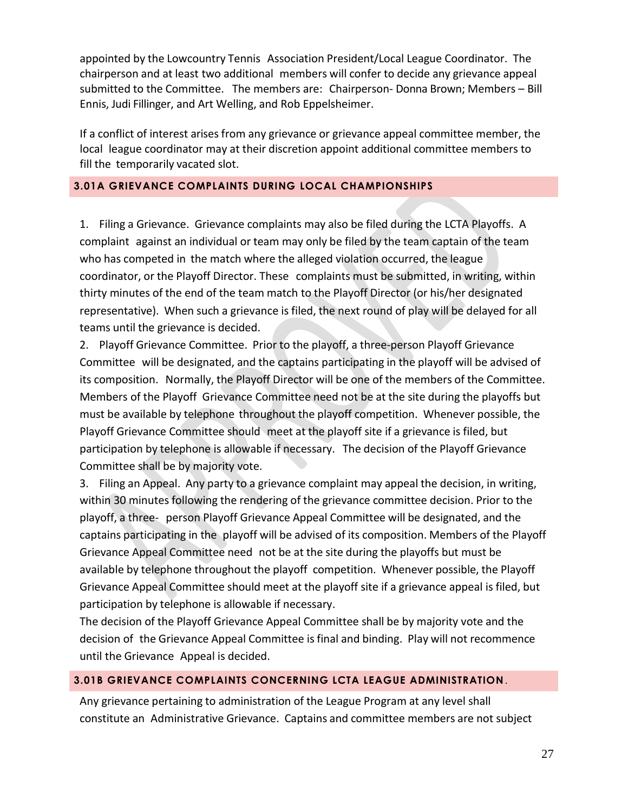appointed by the Lowcountry Tennis Association President/Local League Coordinator. The chairperson and at least two additional members will confer to decide any grievance appeal submitted to the Committee. The members are: Chairperson- Donna Brown; Members – Bill Ennis, Judi Fillinger, and Art Welling, and Rob Eppelsheimer.

If a conflict of interest arises from any grievance or grievance appeal committee member, the local league coordinator may at their discretion appoint additional committee members to fill the temporarily vacated slot.

#### <span id="page-26-0"></span>**3.01A GRIEVANCE COMPLAINTS DURING LOCAL CHAMPIONSHIPS**

1. Filing a Grievance. Grievance complaints may also be filed during the LCTA Playoffs. A complaint against an individual or team may only be filed by the team captain of the team who has competed in the match where the alleged violation occurred, the league coordinator, or the Playoff Director. These complaints must be submitted, in writing, within thirty minutes of the end of the team match to the Playoff Director (or his/her designated representative). When such a grievance is filed, the next round of play will be delayed for all teams until the grievance is decided.

2. Playoff Grievance Committee. Prior to the playoff, a three-person Playoff Grievance Committee will be designated, and the captains participating in the playoff will be advised of its composition. Normally, the Playoff Director will be one of the members of the Committee. Members of the Playoff Grievance Committee need not be at the site during the playoffs but must be available by telephone throughout the playoff competition. Whenever possible, the Playoff Grievance Committee should meet at the playoff site if a grievance is filed, but participation by telephone is allowable if necessary. The decision of the Playoff Grievance Committee shall be by majority vote.

3. Filing an Appeal. Any party to a grievance complaint may appeal the decision, in writing, within 30 minutes following the rendering of the grievance committee decision. Prior to the playoff, a three- person Playoff Grievance Appeal Committee will be designated, and the captains participating in the playoff will be advised of its composition. Members of the Playoff Grievance Appeal Committee need not be at the site during the playoffs but must be available by telephone throughout the playoff competition. Whenever possible, the Playoff Grievance Appeal Committee should meet at the playoff site if a grievance appeal is filed, but participation by telephone is allowable if necessary.

The decision of the Playoff Grievance Appeal Committee shall be by majority vote and the decision of the Grievance Appeal Committee isfinal and binding. Play will not recommence until the Grievance Appeal is decided.

#### <span id="page-26-1"></span>**3.01B GRIEVANCE COMPLAINTS CONCERNING LCTA LEAGUE ADMINISTRATION**.

Any grievance pertaining to administration of the League Program at any level shall constitute an Administrative Grievance. Captains and committee members are not subject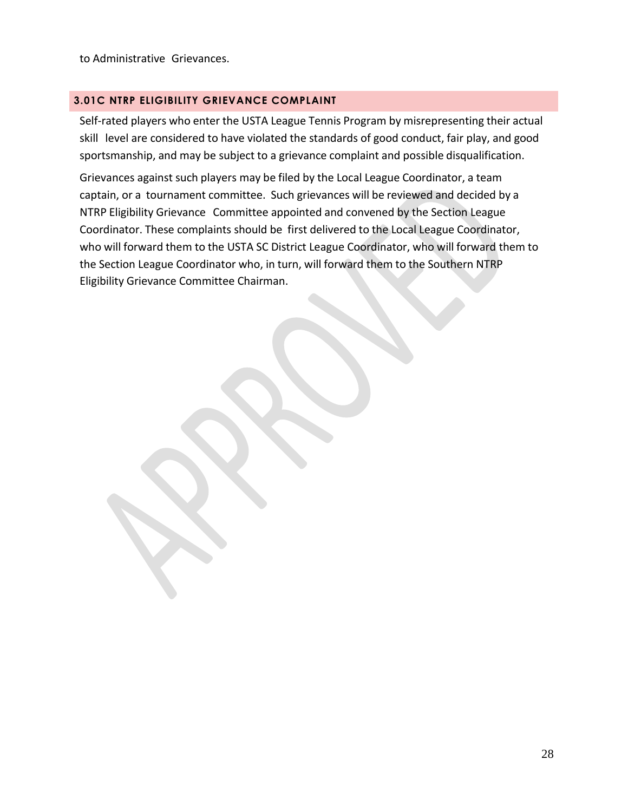to Administrative Grievances.

#### <span id="page-27-0"></span>**3.01C NTRP ELIGIBILITY GRIEVANCE COMPLAINT**

Self-rated players who enter the USTA League Tennis Program by misrepresenting their actual skill level are considered to have violated the standards of good conduct, fair play, and good sportsmanship, and may be subject to a grievance complaint and possible disqualification.

Grievances against such players may be filed by the Local League Coordinator, a team captain, or a tournament committee. Such grievances will be reviewed and decided by a NTRP Eligibility Grievance Committee appointed and convened by the Section League Coordinator. These complaints should be first delivered to the Local League Coordinator, who will forward them to the USTA SC District League Coordinator, who will forward them to the Section League Coordinator who, in turn, will forward them to the Southern NTRP Eligibility Grievance Committee Chairman.